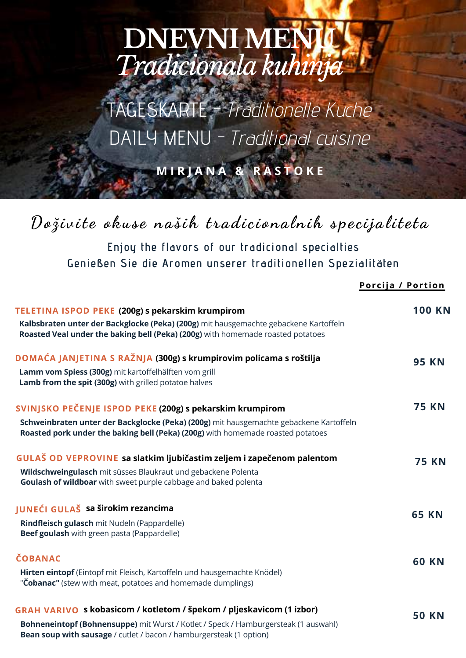# **DNEVNI MEN** *Tradicionala kuhinja*

TAGESKARTE - Traditionelle Küche DAILY MENU - Traditional cuisine

**M I R J A N A & R A S T O K E**

## Doživite okuse naših tradicionalnih specijaliteta

**Enjoy the flavors of our tradicional specialties Genießen Sie die Aromen unserer traditionellen Spezialitäten**

|                                                                                                                                                                                                                                           | Porcija / Portion |
|-------------------------------------------------------------------------------------------------------------------------------------------------------------------------------------------------------------------------------------------|-------------------|
| TELETINA ISPOD PEKE (200g) s pekarskim krumpirom<br>Kalbsbraten unter der Backglocke (Peka) (200g) mit hausgemachte gebackene Kartoffeln<br>Roasted Veal under the baking bell (Peka) (200g) with homemade roasted potatoes               | <b>100 KN</b>     |
| DOMAĆA JANJETINA S RAŽNJA (300g) s krumpirovim policama s roštilja<br>Lamm vom Spiess (300g) mit kartoffelhälften vom grill<br>Lamb from the spit (300g) with grilled potatoe halves                                                      | <b>95 KN</b>      |
| SVINJSKO PEČENJE ISPOD PEKE (200g) s pekarskim krumpirom<br>Schweinbraten unter der Backglocke (Peka) (200g) mit hausgemachte gebackene Kartoffeln<br>Roasted pork under the baking bell (Peka) (200g) with homemade roasted potatoes     | <b>75 KN</b>      |
| GULAŠ OD VEPROVINE sa slatkim ljubičastim zeljem i zapečenom palentom<br>Wildschweingulasch mit süsses Blaukraut und gebackene Polenta<br>Goulash of wildboar with sweet purple cabbage and baked polenta                                 | <b>75 KN</b>      |
| JUNEĆI GULAŠ sa širokim rezancima<br>Rindfleisch gulasch mit Nudeln (Pappardelle)<br>Beef goulash with green pasta (Pappardelle)                                                                                                          | <b>65 KN</b>      |
| <b>ČOBANAC</b><br>Hirten eintopf (Eintopf mit Fleisch, Kartoffeln und hausgemachte Knödel)<br>"Cobanac" (stew with meat, potatoes and homemade dumplings)                                                                                 | <b>60 KN</b>      |
| GRAH VARIVO s kobasicom / kotletom / špekom / pljeskavicom (1 izbor)<br>Bohneneintopf (Bohnensuppe) mit Wurst / Kotlet / Speck / Hamburgersteak (1 auswahl)<br><b>Bean soup with sausage</b> / cutlet / bacon / hamburgersteak (1 option) | <b>50 KN</b>      |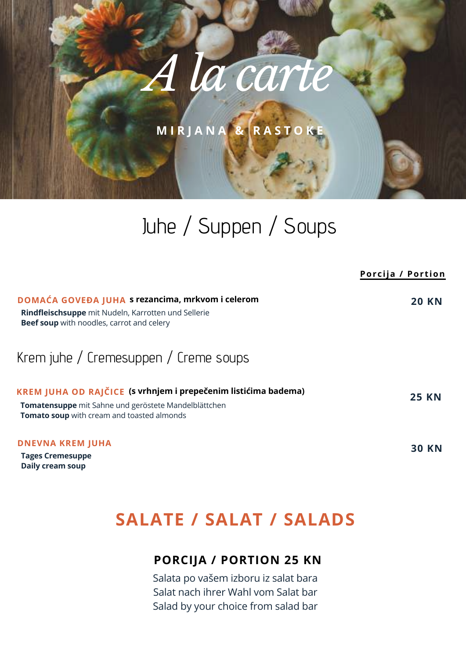**M I R J A N A & R A S T O K E**

# Juhe / Suppen / Soups

|                                                                                                                                                                      | Porcija / Portion |
|----------------------------------------------------------------------------------------------------------------------------------------------------------------------|-------------------|
| DOMAĆA GOVEĐA JUHA s rezancima, mrkvom i celerom<br>Rindfleischsuppe mit Nudeln, Karrotten und Sellerie<br><b>Beef soup</b> with noodles, carrot and celery          | <b>20 KN</b>      |
| Krem juhe / Cremesuppen / Creme soups                                                                                                                                |                   |
| KREM JUHA OD RAJČICE (s vrhnjem i prepečenim listićima badema)<br>Tomatensuppe mit Sahne und geröstete Mandelblättchen<br>Tomato soup with cream and toasted almonds | <b>25 KN</b>      |
| <b>DNEVNA KREM JUHA</b><br><b>Tages Cremesuppe</b><br>Daily cream soup                                                                                               | <b>30 KN</b>      |

## **SALATE / SALAT / SALADS**

### **PORCIJA / PORTION 25 KN**

Salata po vašem izboru iz salat bara Salat nach ihrer Wahl vom Salat bar Salad by your choice from salad bar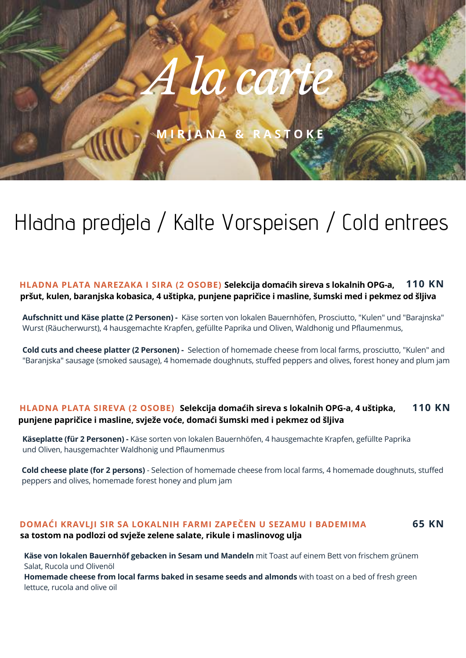**M I R J A N A & R A S T O K E**

# Hladna predjela / Kalte Vorspeisen / Cold entrees

#### **HLADNA PLATA NAREZAKA I SIRA (2 OSOBE) Selekcija domaćih sireva s lokalnih OPG-a, 110 KN pršut, kulen, baranjska kobasica, 4 uštipka, punjene papričice i masline, šumski med i pekmez od šljiva**

**Aufschnitt und Käse platte (2 Personen) -** Käse sorten von lokalen Bauernhöfen, Prosciutto, "Kulen" und "Barajnska" Wurst (Räucherwurst), 4 hausgemachte Krapfen, gefüllte Paprika und Oliven, Waldhonig und Pflaumenmus,

**Cold cuts and cheese platter (2 Personen) -** Selection of homemade cheese from local farms, prosciutto, "Kulen" and "Baranjska" sausage (smoked sausage), 4 homemade doughnuts, stuffed peppers and olives, forest honey and plum jam

#### **HLADNA PLATA SIREVA (2 OSOBE) Selekcija domaćih sireva s lokalnih OPG-a, 4 uštipka, 110 KN punjene papričice i masline, svježe voće, domaći šumski med i pekmez od šljiva**

**Käseplatte (für 2 Personen) -** Käse sorten von lokalen Bauernhöfen, 4 hausgemachte Krapfen, gefüllte Paprika und Oliven, hausgemachter Waldhonig und Pflaumenmus

**Cold cheese plate (for 2 persons)** - Selection of homemade cheese from local farms, 4 homemade doughnuts, stuffed peppers and olives, homemade forest honey and plum jam

#### **DOMAĆI KRAVLJI SIR SA LOKALNIH FARMI ZAPEČEN U SEZAMU I BADEMIMA 65 KN sa tostom na podlozi od svježe zelene salate, rikule i maslinovog ulja**

**Käse von lokalen Bauernhöf gebacken in Sesam und Mandeln** mit Toast auf einem Bett von frischem grünem Salat, Rucola und Olivenöl **Homemade cheese from local farms baked in sesame seeds and almonds** with toast on a bed of fresh green lettuce, rucola and olive oil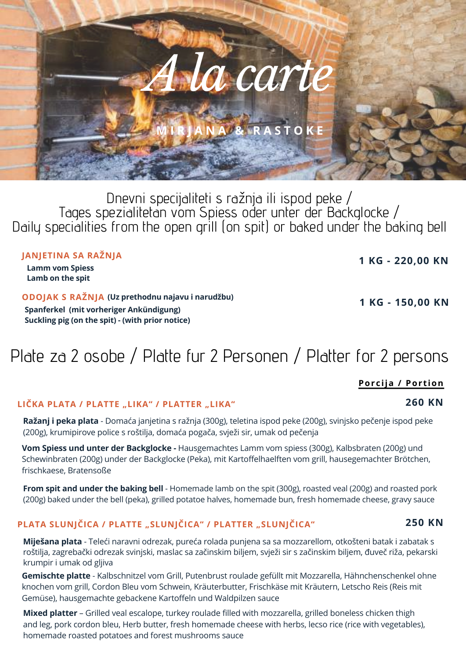Tages spezialitetan vom Spiess oder unter der Backglocke / Daily specialities from the open grill (on spit) or baked under the baking bell

**JANJETINA SA RAŽNJA**

**Lamm vom Spiess Lamb on the spit**

**ODOJAK S RAŽNJA (Uz prethodnu najavu i narudžbu)Spanferkel (mit vorheriger Ankündigung) Suckling pig (on the spit) - (with prior notice)**

Plate za 2 osobe / Platte fur 2 Personen / Platter for 2 persons

**LIČKA PLATA / PLATTE "LIKA" / PLATTER "LIKA"**

**Ražanj i peka plata** - Domaća janjetina s ražnja (300g), teletina ispod peke (200g), svinjsko pečenje ispod peke (200g), krumipirove police s roštilja, domaća pogača, svježi sir, umak od pečenja

**Vom Spiess und unter der Backglocke -** Hausgemachtes Lamm vom spiess (300g), Kalbsbraten (200g) und Schewinbraten (200g) under der Backglocke (Peka), mit Kartoffelhaelften vom grill, hausegemachter Brötchen, frischkaese, Bratensoße

**From spit and under the baking bell** - Homemade lamb on the spit (300g), roasted veal (200g) and roasted pork (200g) baked under the bell (peka), grilled potatoe halves, homemade bun, fresh homemade cheese, gravy sauce

#### **PLATA SLUNJČICA / PLATTE "SLUNJČICA" / PLATTER "SLUNJČICA"**

**Miješana plata** - Teleći naravni odrezak, pureća rolada punjena sa sa mozzarellom, otkošteni batak i zabatak s roštilja, zagrebački odrezak svinjski, maslac sa začinskim biljem, svježi sir s začinskim biljem, đuveč riža, pekarski krumpir i umak od gljiva

**Gemischte platte** - Kalbschnitzel vom Grill, Putenbrust roulade gefüllt mit Mozzarella, Hähnchenschenkel ohne knochen vom grill, Cordon Bleu vom Schwein, Kräuterbutter, Frischkäse mit Kräutern, Letscho Reis (Reis mit Gemüse), hausgemachte gebackene Kartoffeln und Waldpilzen sauce

**Mixed platter** – Grilled veal escalope, turkey roulade filled with mozzarella, grilled boneless chicken thigh and leg, pork cordon bleu, Herb butter, fresh homemade cheese with herbs, lecso rice (rice with vegetables), homemade roasted potatoes and forest mushrooms sauce

**250 KN**

**260 KN**

**1 KG - 220,00 KN**

**1 KG - 150,00 KN**

**Porcija / Por t ion**

Dnevni specijaliteti s ražnja ili ispod peke /

*A la carte*

**M I R J A N A & R A S T O K E**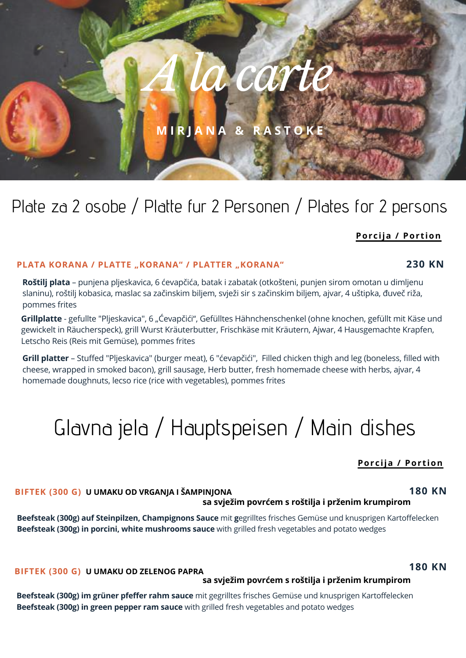**M I R J A N A & R A S T O K E**

## Plate za 2 osobe / Platte fur 2 Personen / Plates for 2 persons

#### **Porcija / Por t ion**

#### **PLATA KORANA / PLATTE "KORANA" / PLATTER "KORANA"**

**Roštilj plata** – punjena pljeskavica, 6 ćevapčića, batak i zabatak (otkošteni, punjen sirom omotan u dimljenu slaninu), roštilj kobasica, maslac sa začinskim biljem, svježi sir s začinskim biljem, ajvar, 4 uštipka, đuveč riža, pommes frites

Grillplatte - gefullte "Pljeskavica", 6 "Ćevapčići", Gefülltes Hähnchenschenkel (ohne knochen, gefüllt mit Käse und gewickelt in Räucherspeck), grill Wurst Kräuterbutter, Frischkäse mit Kräutern, Ajwar, 4 Hausgemachte Krapfen, Letscho Reis (Reis mit Gemüse), pommes frites

**Grill platter** – Stuffed "Pljeskavica" (burger meat), 6 "ćevapčići", Filled chicken thigh and leg (boneless, filled with cheese, wrapped in smoked bacon), grill sausage, Herb butter, fresh homemade cheese with herbs, ajvar, 4 homemade doughnuts, lecso rice (rice with vegetables), pommes frites

# Glavna jela / Hauptspeisen / Main dishes

#### **Porcija / Por t ion**

#### **BIFTEK (300 G) U UMAKU OD VRGANJA I ŠAMPINJONA 180 KN sa svježim povrćem s roštilja i prženim krumpirom**

**Beefsteak (300g) auf Steinpilzen, Champignons Sauce** mit **g**egrilltes frisches Gemüse und knusprigen Kartoffelecken **Beefsteak (300g) in porcini, white mushrooms sauce** with grilled fresh vegetables and potato wedges

**BIFTEK (300 G) U UMAKU OD ZELENOG PAPRA**

#### **sa svježim povrćem s roštilja i prženim krumpirom**

**Beefsteak (300g) im grüner pfeffer rahm sauce** mit gegrilltes frisches Gemüse und knusprigen Kartoffelecken **Beefsteak (300g) in green pepper ram sauce** with grilled fresh vegetables and potato wedges

**180 KN**

# **230 KN**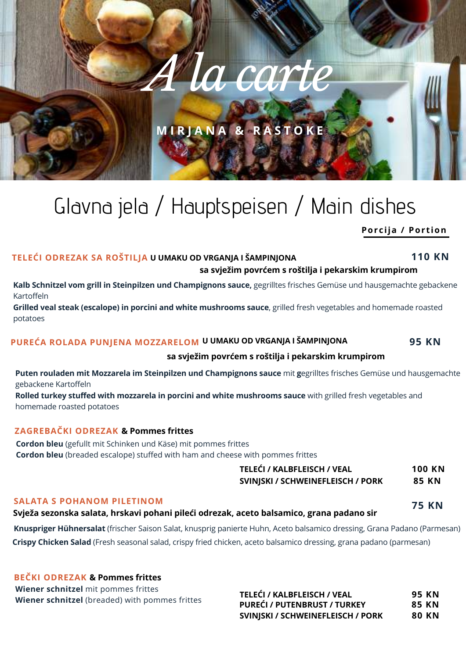## **M I R J A N A & R A S T O K E**

*A la carte*

## **Porcija / Por t ion** Glavna jela / Hauptspeisen / Main dishes

#### **TELEĆI ODREZAK SA ROŠTILJA U UMAKU OD VRGANJA I ŠAMPINJONA**

#### **sa svježim povrćem s roštilja i pekarskim krumpirom**

**Kalb Schnitzel vom grill in Steinpilzen und Champignons sauce,** gegrilltes frisches Gemüse und hausgemachte gebackene Kartoffeln

**Grilled veal steak (escalope) in porcini and white mushrooms sauce**, grilled fresh vegetables and homemade roasted potatoes

#### **PUREĆA ROLADA PUNJENA MOZZARELOM U UMAKU OD VRGANJA I ŠAMPINJONA**

#### **sa svježim povrćem s roštilja i pekarskim krumpirom**

**Puten rouladen mit Mozzarela im Steinpilzen und Champignons sauce** mit **g**egrilltes frisches Gemüse und hausgemachte gebackene Kartoffeln

**Rolled turkey stuffed with mozzarela in porcini and white mushrooms sauce** with grilled fresh vegetables and homemade roasted potatoes

#### **ZAGREBAČKI ODREZAK & Pommes frittes**

**Cordon bleu** (gefullt mit Schinken und Käse) mit pommes frittes **Cordon bleu** (breaded escalope) stuffed with ham and cheese with pommes frittes

| TELEĆI / KALBFLEISCH / VEAL       | 100 KN |
|-----------------------------------|--------|
| SVINJSKI / SCHWEINEFLEISCH / PORK | 85 KN  |
|                                   |        |

#### **SALATA S POHANOM PILETINOM**

#### **Svježa sezonska salata, hrskavi pohani pileći odrezak, aceto balsamico, grana padano sir**

**Crispy Chicken Salad** (Fresh seasonal salad, crispy fried chicken, aceto balsamico dressing, grana padano (parmesan) **Knuspriger Hühnersalat** (frischer Saison Salat, knusprig panierte Huhn, Aceto balsamico dressing, Grana Padano (Parmesan)

#### **BEČKI ODREZAK & Pommes frittes**

**Wiener schnitzel** mit pommes frittes **Wiener schnitzel** (breaded) with pommes frittes

**TELEĆI / KALBFLEISCH / VEAL 95 KN PUREĆI / PUTENBRUST / TURKEY 85 KN SVINJSKI / SCHWEINEFLEISCH / PORK 80 KN**



**75 KN**

**110 KN**

**95 KN**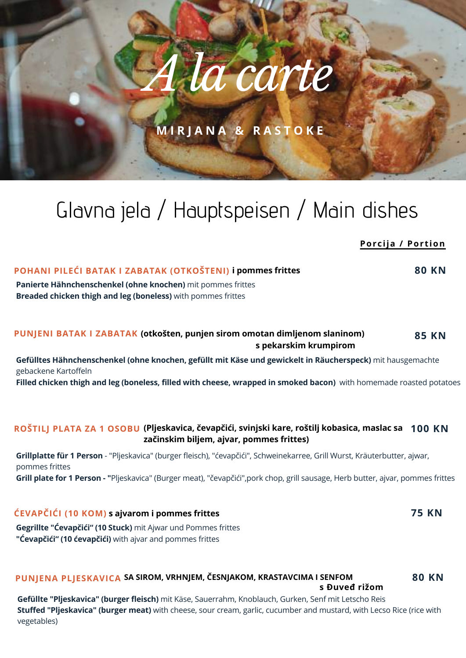**M I R J A N A & R A S T O K E**

# Glavna jela / Hauptspeisen / Main dishes

| ווטווטור דע מןוטוו                                                                                                                              |              |
|-------------------------------------------------------------------------------------------------------------------------------------------------|--------------|
| POHANI PILEĆI BATAK I ZABATAK (OTKOŠTENI) i pommes frittes                                                                                      | <b>80 KN</b> |
| Panierte Hähnchenschenkel (ohne knochen) mit pommes frittes<br>Breaded chicken thigh and leg (boneless) with pommes frittes                     |              |
| PUNJENI BATAK I ZABATAK (otkošten, punjen sirom omotan dimljenom slaninom)<br>s pekarskim krumpirom                                             | <b>85 KN</b> |
| Gefülltes Hähnchenschenkel (ohne knochen, gefüllt mit Käse und gewickelt in Räucherspeck) mit hausgemachte<br>gebackene Kartoffeln              |              |
| Filled chicken thigh and leg (boneless, filled with cheese, wrapped in smoked bacon) with homemade roasted potatoes                             |              |
| ROŠTILJ PLATA ZA 1 OSOBU (Pljeskavica, čevapčići, svinjski kare, roštilj kobasica, maslac sa 100 KN<br>začinskim biljem, ajvar, pommes frittes) |              |
| Grillplatte für 1 Person - "Pljeskavica" (burger fleisch), "ćevapčići", Schweinekarree, Grill Wurst, Kräuterbutter, ajwar,<br>pommes frittes    |              |
| Grill plate for 1 Person - "Pljeskavica" (Burger meat), "čevapčići", pork chop, grill sausage, Herb butter, ajvar, pommes frittes               |              |
| ĆEVAPČIĆI (10 KOM) s ajvarom i pommes frittes                                                                                                   | <b>75 KN</b> |
| Gegrillte "Ćevapčići" (10 Stuck) mit Ajwar und Pommes frittes<br>"Ćevapčići" (10 ćevapčići) with ajvar and pommes frittes                       |              |
| PUNJENA PLJESKAVICA SA SIROM, VRHNJEM, ČESNJAKOM, KRASTAVCIMA I SENFOM<br>s Đuveđ rižom                                                         | <b>80 KN</b> |

**Porcija / Por t ion**

**Gefüllte "Pljeskavica" (burger fleisch)** mit Käse, Sauerrahm, Knoblauch, Gurken, Senf mit Letscho Reis **Stuffed "Pljeskavica" (burger meat)** with cheese, sour cream, garlic, cucumber and mustard, with Lecso Rice (rice with vegetables)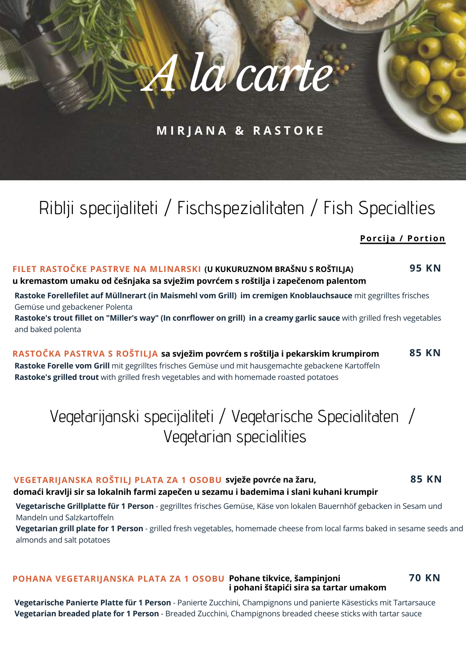**M I R J A N A & R A S T O K E**

## Riblji specijaliteti / Fischspezialitaten / Fish Specialties

#### **Porcija / Por t ion**

#### **FILET RASTOČKE PASTRVE NA MLINARSKI (U KUKURUZNOM BRAŠNU S ROŠTILJA) 95 KN u kremastom umaku od češnjaka sa svježim povrćem s roštilja i zapečenom palentom**

**Rastoke Forellefilet auf Müllnerart (in Maismehl vom Grill) im cremigen Knoblauchsauce** mit gegrilltes frisches Gemüse und gebackener Polenta

Rastoke's trout fillet on "Miller's way" (In conrflower on grill) in a creamy garlic sauce with grilled fresh vegetables and baked polenta

**RASTOČKA PASTRVA S ROŠTILJA sa svježim povrćem s roštilja i pekarskim krumpirom 85 KN Rastoke Forelle vom Grill** mit gegrilltes frisches Gemüse und mit hausgemachte gebackene Kartoffeln **Rastoke's grilled trout** with grilled fresh vegetables and with homemade roasted potatoes

## Vegetarijanski specijaliteti / Vegetarische Specialitaten / Vegetarian specialities

#### **VEGETARIJANSKA ROŠTILJ PLATA ZA 1 OSOBU svježe povrće na žaru, 85 KN**

#### **domaći kravlji sir sa lokalnih farmi zapečen u sezamu i bademima i slani kuhani krumpir**

**Vegetarische Grillplatte für 1 Person** - gegrilltes frisches Gemüse, Käse von lokalen Bauernhöf gebacken in Sesam und Mandeln und Salzkartoffeln

**Vegetarian grill plate for 1 Person** - grilled fresh vegetables, homemade cheese from local farms baked in sesame seeds and almonds and salt potatoes

#### **POHANA VEGETARIJANSKA PLATA ZA 1 OSOBU Pohane tikvice, šampinjoni 70 KN i pohani štapići sira sa tartar umakom**

**Vegetarische Panierte Platte für 1 Person** - Panierte Zucchini, Champignons und panierte Käsesticks mit Tartarsauce **Vegetarian breaded plate for 1 Person** - Breaded Zucchini, Champignons breaded cheese sticks with tartar sauce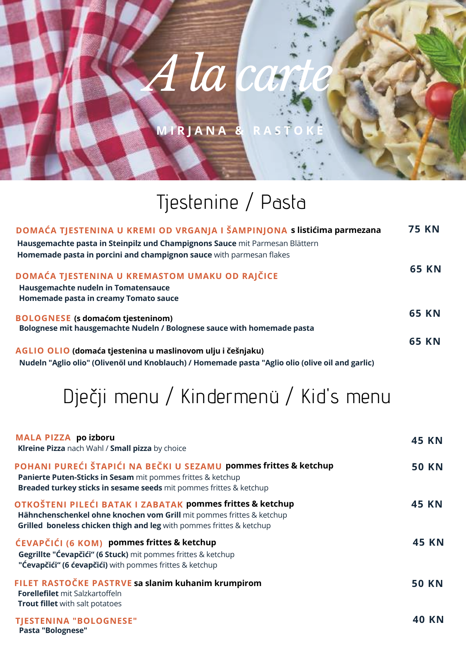## **M I R J A N A & R A S T O K E**

# Tjestenine / Pasta

| DOMAĆA TJESTENINA U KREMI OD VRGANJA I ŠAMPINJONA s listićima parmezana                          | <b>75 KN</b> |
|--------------------------------------------------------------------------------------------------|--------------|
| Hausgemachte pasta in Steinpilz und Champignons Sauce mit Parmesan Blättern                      |              |
| Homemade pasta in porcini and champignon sauce with parmesan flakes                              |              |
| DOMAĆA TJESTENINA U KREMASTOM UMAKU OD RAJČICE                                                   | <b>65 KN</b> |
| Hausgemachte nudeln in Tomatensauce                                                              |              |
| Homemade pasta in creamy Tomato sauce                                                            |              |
| <b>BOLOGNESE</b> (s domaćom tjesteninom)                                                         | <b>65 KN</b> |
| Bolognese mit hausgemachte Nudeln / Bolognese sauce with homemade pasta                          |              |
|                                                                                                  | <b>65 KN</b> |
| AGLIO OLIO (domaća tjestenina u maslinovom ulju i češnjaku)                                      |              |
| Nudeln "Aglio olio" (Olivenöl und Knoblauch) / Homemade pasta "Aglio olio (olive oil and garlic) |              |

# Dječji menu / Kindermenü / Kid's menu

| MALA PIZZA po izboru<br>Kireine Pizza nach Wahl / Small pizza by choice                                                                                                                                          | <b>45 KN</b> |
|------------------------------------------------------------------------------------------------------------------------------------------------------------------------------------------------------------------|--------------|
| POHANI PUREĆI ŠTAPIĆI NA BEČKI U SEZAMU pommes frittes & ketchup<br><b>Panierte Puten-Sticks in Sesam mit pommes frittes &amp; ketchup</b><br>Breaded turkey sticks in sesame seeds mit pommes frittes & ketchup | <b>50 KN</b> |
| OTKOŠTENI PILEĆI BATAK I ZABATAK pommes frittes & ketchup<br>Hähnchenschenkel ohne knochen vom Grill mit pommes frittes & ketchup<br>Grilled boneless chicken thigh and leg with pommes frittes & ketchup        | <b>45 KN</b> |
| ĆEVAPČIĆI (6 KOM) pommes frittes & ketchup<br>Gegrillte "Ćevapčići" (6 Stuck) mit pommes frittes & ketchup<br>"Ćevapčići" (6 ćevapčići) with pommes frittes & ketchup                                            | <b>45 KN</b> |
| FILET RASTOČKE PASTRVE sa slanim kuhanim krumpirom<br>Forellefilet mit Salzkartoffeln<br><b>Trout fillet</b> with salt potatoes                                                                                  | <b>50 KN</b> |
| <b>TIESTENINA "BOLOGNESE"</b><br>Pasta "Bolognese"                                                                                                                                                               | 40 KN        |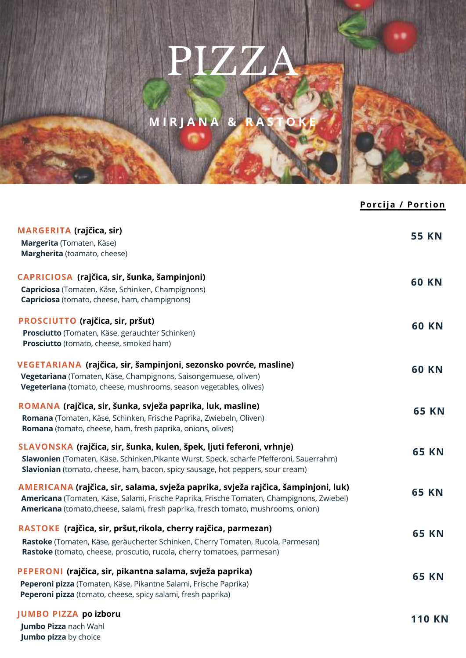# PIZZA

**M I R J A N A & R A S T O K E**

|                                                                                                                                                                                                                                                                      | Porcija / Portion |
|----------------------------------------------------------------------------------------------------------------------------------------------------------------------------------------------------------------------------------------------------------------------|-------------------|
| <b>MARGERITA</b> (rajčica, sir)<br>Margerita (Tomaten, Käse)<br>Margherita (toamato, cheese)                                                                                                                                                                         | <b>55 KN</b>      |
| CAPRICIOSA (rajčica, sir, šunka, šampinjoni)<br>Capriciosa (Tomaten, Käse, Schinken, Champignons)<br>Capriciosa (tomato, cheese, ham, champignons)                                                                                                                   | <b>60 KN</b>      |
| PROSCIUTTO (rajčica, sir, pršut)<br>Prosciutto (Tomaten, Käse, gerauchter Schinken)<br>Prosciutto (tomato, cheese, smoked ham)                                                                                                                                       | <b>60 KN</b>      |
| VEGETARIANA (rajčica, sir, šampinjoni, sezonsko povrće, masline)<br>Vegetariana (Tomaten, Käse, Champignons, Saisongemuese, oliven)<br>Vegeteriana (tomato, cheese, mushrooms, season vegetables, olives)                                                            | <b>60 KN</b>      |
| ROMANA (rajčica, sir, šunka, svježa paprika, luk, masline)<br>Romana (Tomaten, Käse, Schinken, Frische Paprika, Zwiebeln, Oliven)<br>Romana (tomato, cheese, ham, fresh paprika, onions, olives)                                                                     | <b>65 KN</b>      |
| SLAVONSKA (rajčica, sir, šunka, kulen, špek, ljuti feferoni, vrhnje)<br>Slawonien (Tomaten, Käse, Schinken, Pikante Wurst, Speck, scharfe Pfefferoni, Sauerrahm)<br>Slavionian (tomato, cheese, ham, bacon, spicy sausage, hot peppers, sour cream)                  | <b>65 KN</b>      |
| AMERICANA (rajčica, sir, salama, svježa paprika, svježa rajčica, šampinjoni, luk)<br>Americana (Tomaten, Käse, Salami, Frische Paprika, Frische Tomaten, Champignons, Zwiebel)<br>Americana (tomato, cheese, salami, fresh paprika, fresch tomato, mushrooms, onion) | <b>65 KN</b>      |
| RASTOKE (rajčica, sir, pršut, rikola, cherry rajčica, parmezan)<br>Rastoke (Tomaten, Käse, geräucherter Schinken, Cherry Tomaten, Rucola, Parmesan)<br>Rastoke (tomato, cheese, proscutio, rucola, cherry tomatoes, parmesan)                                        | <b>65 KN</b>      |
| PEPERONI (rajčica, sir, pikantna salama, svježa paprika)<br>Peperoni pizza (Tomaten, Käse, Pikantne Salami, Frische Paprika)<br>Peperoni pizza (tomato, cheese, spicy salami, fresh paprika)                                                                         | <b>65 KN</b>      |
| <b>JUMBO PIZZA po izboru</b><br>Jumbo Pizza nach Wahl<br><b>Jumbo pizza</b> by choice                                                                                                                                                                                | <b>110 KN</b>     |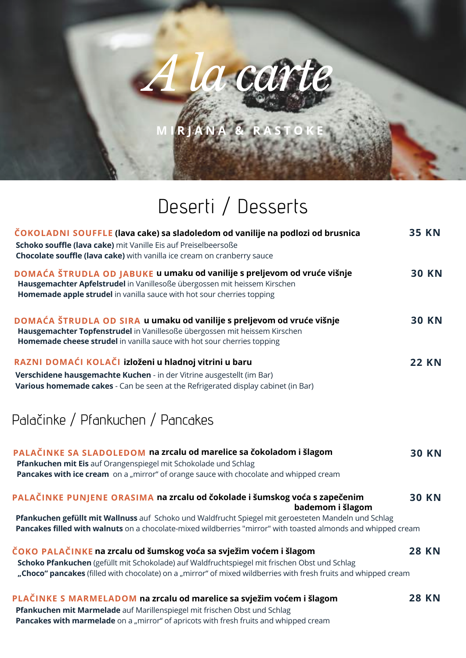**M I R J A N A & R A S T O K E**

# Deserti / Desserts

| ČOKOLADNI SOUFFLE (lava cake) sa sladoledom od vanilije na podlozi od brusnica<br>Schoko souffle (lava cake) mit Vanille Eis auf Preiselbeersoße<br>Chocolate souffle (lava cake) with vanilla ice cream on cranberry sauce                                                            | <b>35 KN</b> |
|----------------------------------------------------------------------------------------------------------------------------------------------------------------------------------------------------------------------------------------------------------------------------------------|--------------|
| DOMAĆA ŠTRUDLA OD JABUKE u umaku od vanilije s preljevom od vruće višnje<br>Hausgemachter Apfelstrudel in Vanillesoße übergossen mit heissem Kirschen<br>Homemade apple strudel in vanilla sauce with hot sour cherries topping                                                        | <b>30 KN</b> |
| DOMAĆA ŠTRUDLA OD SIRA u umaku od vanilije s preljevom od vruće višnje<br>Hausgemachter Topfenstrudel in Vanillesoße übergossen mit heissem Kirschen<br>Homemade cheese strudel in vanilla sauce with hot sour cherries topping                                                        | <b>30 KN</b> |
| RAZNI DOMAĆI KOLAČI izloženi u hladnoj vitrini u baru<br>Verschidene hausgemachte Kuchen - in der Vitrine ausgestellt (im Bar)<br>Various homemade cakes - Can be seen at the Refrigerated display cabinet (in Bar)                                                                    | <b>22 KN</b> |
| Palačinke / Pfankuchen / Pancakes                                                                                                                                                                                                                                                      |              |
| PALAČINKE SA SLADOLEDOM na zrcalu od marelice sa čokoladom i šlagom<br>Pfankuchen mit Eis auf Orangenspiegel mit Schokolade und Schlag<br>Pancakes with ice cream on a "mirror" of orange sauce with chocolate and whipped cream                                                       | <b>30 KN</b> |
| PALAČINKE PUNJENE ORASIMA na zrcalu od čokolade i šumskog voća s zapečenim<br>bademom i šlagom                                                                                                                                                                                         | <b>30 KN</b> |
| Pfankuchen gefüllt mit Wallnuss auf Schoko und Waldfrucht Spiegel mit geroesteten Mandeln und Schlag<br>Pancakes filled with walnuts on a chocolate-mixed wildberries "mirror" with toasted almonds and whipped cream                                                                  |              |
| ČOKO PALAČINKE na zrcalu od šumskog voća sa svježim voćem i šlagom<br>Schoko Pfankuchen (gefüllt mit Schokolade) auf Waldfruchtspiegel mit frischen Obst und Schlag<br>"Choco" pancakes (filled with chocolate) on a "mirror" of mixed wildberries with fresh fruits and whipped cream | <b>28 KN</b> |
| PLAČINKE S MARMELADOM na zrcalu od marelice sa svježim voćem i šlagom<br>Pfankuchen mit Marmelade auf Marillenspiegel mit frischen Obst und Schlag<br>Pancakes with marmelade on a "mirror" of apricots with fresh fruits and whipped cream                                            | <b>28 KN</b> |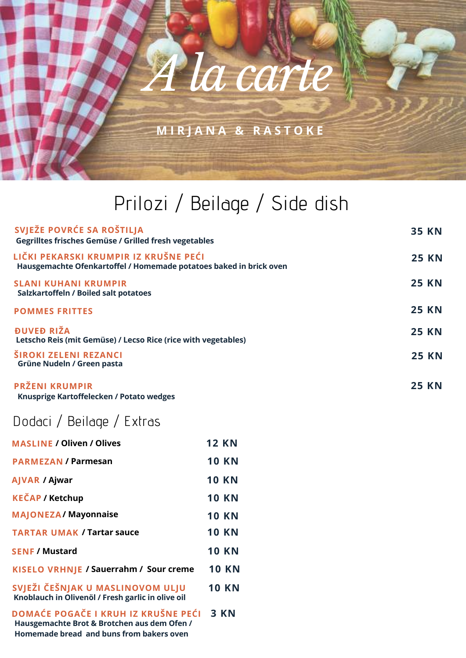**M I R J A N A & R A S T O K E**

# Prilozi / Beilage / Side dish

| SVJEŽE POVRĆE SA ROŠTILJA<br><b>Gegrilltes frisches Gemüse / Grilled fresh vegetables</b>                   | <b>35 KN</b> |
|-------------------------------------------------------------------------------------------------------------|--------------|
| LIČKI PEKARSKI KRUMPIR IZ KRUŠNE PEĆI<br>Hausgemachte Ofenkartoffel / Homemade potatoes baked in brick oven | <b>25 KN</b> |
| <b>SLANI KUHANI KRUMPIR</b><br>Salzkartoffeln / Boiled salt potatoes                                        | <b>25 KN</b> |
| <b>POMMES FRITTES</b>                                                                                       | <b>25 KN</b> |
| <b>DUVED RIŽA</b><br>Letscho Reis (mit Gemüse) / Lecso Rice (rice with vegetables)                          | <b>25 KN</b> |
| <b>ŠIROKI ZELENI REZANCI</b><br>Grüne Nudeln / Green pasta                                                  | <b>25 KN</b> |
| PRŽENI KRUMPIR                                                                                              | <b>25 KN</b> |

**Knusprige Kartoffelecken / Potato wedges**

## Dodaci / Beilage / Extras

| <b>MASLINE / Oliven / Olives</b>                                                      | <b>12 KN</b> |
|---------------------------------------------------------------------------------------|--------------|
| <b>PARMEZAN / Parmesan</b>                                                            | <b>10 KN</b> |
| <b>AJVAR / Ajwar</b>                                                                  | <b>10 KN</b> |
| <b>KEČAP / Ketchup</b>                                                                | <b>10 KN</b> |
| <b>MAJONEZA/Mayonnaise</b>                                                            | <b>10 KN</b> |
| <b>TARTAR UMAK / Tartar sauce</b>                                                     | <b>10 KN</b> |
| <b>SENF / Mustard</b>                                                                 | <b>10 KN</b> |
| KISELO VRHNJE / Sauerrahm / Sour creme                                                | <b>10 KN</b> |
| SVJEŽI ČEŠNJAK U MASLINOVOM ULJU<br>Knoblauch in Olivenöl / Fresh garlic in olive oil | <b>10 KN</b> |
|                                                                                       |              |

**DOMAĆE POGAČE I KRUH IZ KRUŠNE PEĆI Hausgemachte Brot & Brotchen aus dem Ofen / Homemade bread and buns from bakers oven 3 KN**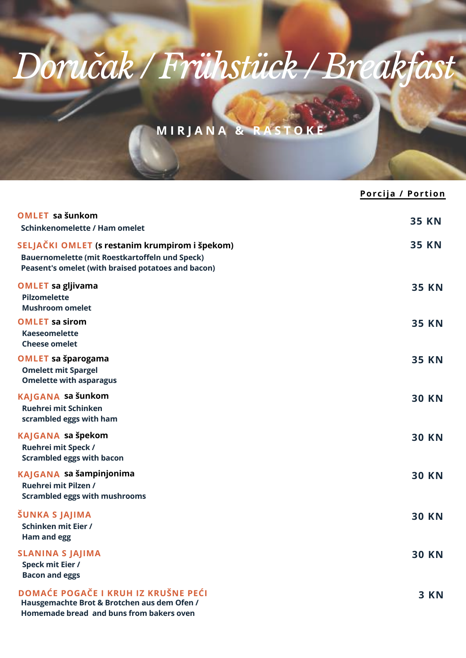# *Doručak / Frühstück / Breakfast*

## **M I R J A N A & R A S T O K E**

|                                                                                                                                                        | Porcija / Portion |
|--------------------------------------------------------------------------------------------------------------------------------------------------------|-------------------|
| <b>OMLET</b> sa šunkom<br><b>Schinkenomelette / Ham omelet</b>                                                                                         | <b>35 KN</b>      |
| SELJAČKI OMLET (s restanim krumpirom i špekom)<br>Bauernomelette (mit Roestkartoffeln und Speck)<br>Peasent's omelet (with braised potatoes and bacon) | <b>35 KN</b>      |
| <b>OMLET</b> sa gljivama<br><b>Pilzomelette</b><br><b>Mushroom omelet</b>                                                                              | <b>35 KN</b>      |
| <b>OMLET sa sirom</b><br><b>Kaeseomelette</b><br><b>Cheese omelet</b>                                                                                  | <b>35 KN</b>      |
| <b>OMLET sa šparogama</b><br><b>Omelett mit Spargel</b><br><b>Omelette with asparagus</b>                                                              | <b>35 KN</b>      |
| KAJGANA sa šunkom<br>Ruehrei mit Schinken<br>scrambled eggs with ham                                                                                   | <b>30 KN</b>      |
| KAJGANA sa špekom<br>Ruehrei mit Speck /<br><b>Scrambled eggs with bacon</b>                                                                           | <b>30 KN</b>      |
| KAJGANA sa šampinjonima<br>Ruehrei mit Pilzen /<br><b>Scrambled eggs with mushrooms</b>                                                                | <b>30 KN</b>      |
| ŠUNKA S JAJIMA<br>Schinken mit Eier /<br>Ham and egg                                                                                                   | <b>30 KN</b>      |
| <b>SLANINA S JAJIMA</b><br>Speck mit Eier /<br><b>Bacon and eggs</b>                                                                                   | <b>30 KN</b>      |
| <b>DOMAĆE POGAČE I KRUH IZ KRUŠNE PEĆI</b><br>Hausgemachte Brot & Brotchen aus dem Ofen /<br>Homemade bread and buns from bakers oven                  | <b>3 KN</b>       |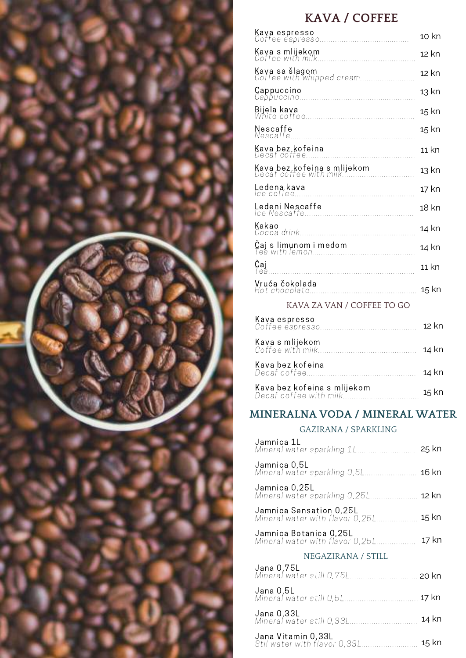

## **KAVA / COFFEE**

|                                                       | 10 kn   |
|-------------------------------------------------------|---------|
|                                                       | 12 kn   |
| Kava sa šlagom<br>Coffee with whipped cream           | 12 kn   |
|                                                       | 13 kn   |
|                                                       | 15 kn   |
|                                                       | 15 kn   |
|                                                       | 11 kn   |
| Kava bez kofeina s mlijekom<br>Decaf coffee with milk | 13 kn   |
|                                                       | 17 kn   |
| Ledeni Nescaffe                                       | 18 kn   |
| Kakao                                                 | 14 kn   |
|                                                       | 14 kn   |
| Čaj                                                   | $11$ kn |
|                                                       | 15 kn   |
| KAVA ZA VAN / COFFEE TO GO                            |         |
| Kava espresso                                         | 12 kn   |
| Kava s mlijekom                                       | 14 kn   |
| Kava bez kofeina                                      | 14 kn   |
| Kava bez kofeina s mlijekom<br>Decaf coffee with milk | $15$ kn |
| MINERALNA VODA / MINERAL WATER                        |         |

#### GAZIRANA / SPARKLING

| Jamnica 1L                                                  | 25 kn |
|-------------------------------------------------------------|-------|
| Jamnica 0,5L<br>Mineral water sparkling 0,5L                | 16 kn |
| Jamnica 0,25L<br>Mineral water sparkling 0,25L <b>12 kn</b> |       |
| Jamnica Sensation 0,25L<br>Mineral water with flavor 0,25L  | 15 kn |
| Jamnica Botanica 0,25L<br>Mineral water with flavor 0,25L   | 17 kn |
| NEGAZIRANA / STILL                                          |       |
| Jana 0,75L                                                  |       |
| Mineral water still 0,75L <b>20 kn</b>                      |       |
| Jana 0,5L<br>Mineral water still 0,5L                       | 17 kn |
| Jana 0,33L<br>Mineral water still 0,33L                     | 14 kn |
| Jana Vitamin 0,33L<br>StII water with flavor 0,33L          | 15 kn |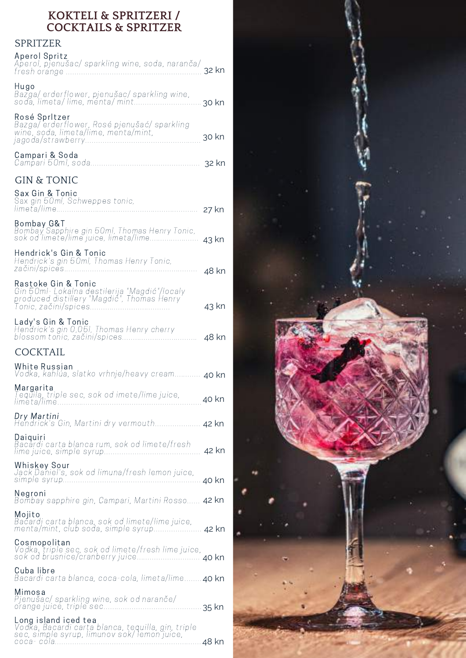#### **KOKTELI & SPRITZERI / COCKTAILS & SPRITZER**

### **SPRITZER**

| UI IVI LALIN                                                                                                                               |       |
|--------------------------------------------------------------------------------------------------------------------------------------------|-------|
| Aperol Spritz<br>Aperol, pjenušac/ sparkling wine, soda, naranča/                                                                          | 32 kn |
| Hugo<br>Bazga/ erderflower, pjenušac/ sparkling wine,<br>sodă, limeta/ lime, menta/ mint                                                   | 30 kn |
| Rosé Spritzer<br>Bazga/ erderflower, Rosé pjenušać/ sparkling<br>wine, soda, limeta/lime, menta/mint,                                      | 30 kn |
| Campari & Soda                                                                                                                             | 32 kn |
| <b>GIN &amp; TONIC</b>                                                                                                                     |       |
| Sax Gin & Tonic<br>Sax gin 50ml, Schweppes tonic,                                                                                          | 27 kn |
| <b>Bombay G&amp;T</b><br>Bombay Sapphire gin 50ml, Thomas Henry Tonic,<br>sok od limete/lime juice, limeta/lime                            | 43 kn |
| Hendrick's Gin & Tonic<br>Hendrick's gin 50ml, Thomas Henry Tonic,                                                                         | 48 kn |
| Rastoke Gin & Tonic<br>Gin 50ml- Lokalna destilerija "Magdić"/localy<br>produced distillery "Magdić", Thomas Henry<br>Tonic, začini/spices | 43 kn |
| Lady's Gin & Tonic<br>Hendrick's gin 0,05I, Thomas Henry cherry<br>blossom tonic, začini/spices                                            | 48 kn |
| <b>COCKTAIL</b>                                                                                                                            |       |
| White Russian<br>Vodka, kahlúa, slatko vrhnje/heavy cream 40 kn                                                                            |       |
| Margarita<br>rargu.r.c.<br>Tequila, triple sec, sok od imete/lime juice,<br>limeta/lime                                                    | 40 kn |
| Dry Martini<br>Hendrick's Gin, Martini dry vermouth 42 kn                                                                                  |       |
| Daiquiri<br>Bacardi carta blanca rum, sok od limete/fresh<br>lime juice, simple syrup                                                      | 42 kn |
| Whiskey Sour<br>Jack Daniel's, sok od limuna/fresh lemon juice,<br>simple syrup                                                            | 40 kn |
| Negroni<br>Bombay sapphire gin, Campari, Martini Rosso 42 kn                                                                               |       |
| Mojito<br>Bacardi carta blanca, sok od limete/lime juice,<br>menta/mint, club soda, simple syrup                                           | 42 kn |
| Cosmopolitan                                                                                                                               |       |
| Cuba libre<br>Bacardi carta blanca, coca-cola, limeta/lime <b>40 kn</b>                                                                    |       |
| Mimosa<br>Pjenušac/ sparkling wine, sok od naranče/<br>orange juice, triple sec                                                            | 35 kn |
| Long island iced tea                                                                                                                       |       |
| Vodka, Bacardi carta blanca, tequilla, gin, triple<br>sec, simple syrup, limunov sok/lemon juice,                                          |       |

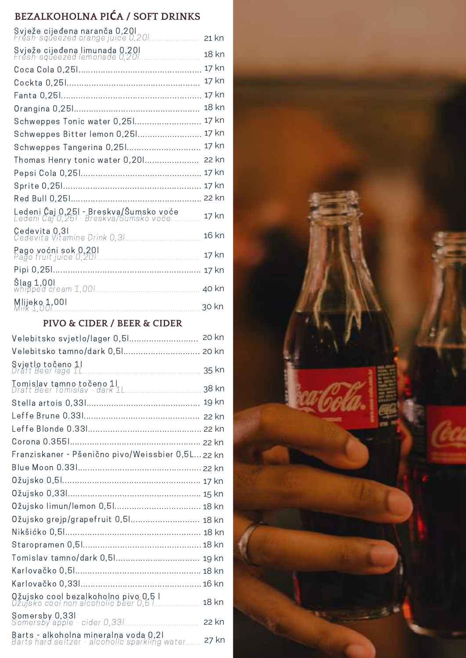### **BEZALKOHOLNA PIĆA / SOFT DRINKS**

| Svježe cijeđena naranča 0,201<br>Fresh-squeezed orange juice 0,201                      |         |
|-----------------------------------------------------------------------------------------|---------|
|                                                                                         | $21$ kn |
| Svježe cijeđena limunada 0,201<br>Fresh-squeezed lemonade 0,201                         | 18 kn   |
|                                                                                         | 17 kn   |
|                                                                                         | 17 kn   |
|                                                                                         | 17 kn   |
|                                                                                         | 18 kn   |
| Schweppes Tonic water 0,251                                                             | 17 kn   |
| Schweppes Bitter lemon 0,251                                                            | 17 kn   |
| Schweppes Tangerina 0,251                                                               | 17 kn   |
| Thomas Henry tonic water 0,201                                                          | 22 kn   |
|                                                                                         | 17 kn   |
|                                                                                         | 17 kn   |
|                                                                                         | 22 kn   |
| <b>Ledeni Čaj 0,251 - Breskva/Šumsko voće</b><br>Ledeni Čaj 0,251 - Breskva/Šumsko voće | 17 kn   |
|                                                                                         | 16 kn   |
|                                                                                         | 17 kn   |
|                                                                                         |         |
|                                                                                         | 40 kn   |
|                                                                                         | 30 kn   |

### **PIVO & CIDER / BEER & CIDER**

| Velebitsko svjetlo/lager 0,51                                                                  | 20 kn |  |
|------------------------------------------------------------------------------------------------|-------|--|
| Velebitsko tamno/dark 0,51 20 kn                                                               |       |  |
|                                                                                                | 35 kn |  |
| T <mark>omislav tamno točeno 1 </mark><br>Draft Beer Tomislav - dark 1L                        | 38 kn |  |
|                                                                                                |       |  |
|                                                                                                |       |  |
|                                                                                                |       |  |
|                                                                                                |       |  |
| Franziskaner - Pšenično pivo/Weissbier 0,5L 22 kn                                              |       |  |
|                                                                                                |       |  |
|                                                                                                |       |  |
|                                                                                                |       |  |
| Ožujsko limun/lemon 0,51 18 kn                                                                 |       |  |
| Ožujsko grejp/grapefruit 0,51 18 kn                                                            |       |  |
|                                                                                                |       |  |
|                                                                                                |       |  |
| Tomislav tamno/dark 0,51 19 kn                                                                 |       |  |
|                                                                                                |       |  |
|                                                                                                |       |  |
| Ožujsko cool bezalkoholno pivo 0,5 l<br>Ožujsko cool non alcoholic beer 0,5 l                  | 18 kn |  |
|                                                                                                | 22 kn |  |
| <b>Barts - alkoholna mineralna voda 0,21</b><br>Barts hard seltzer - alcoholic sparkling water | 27 kn |  |

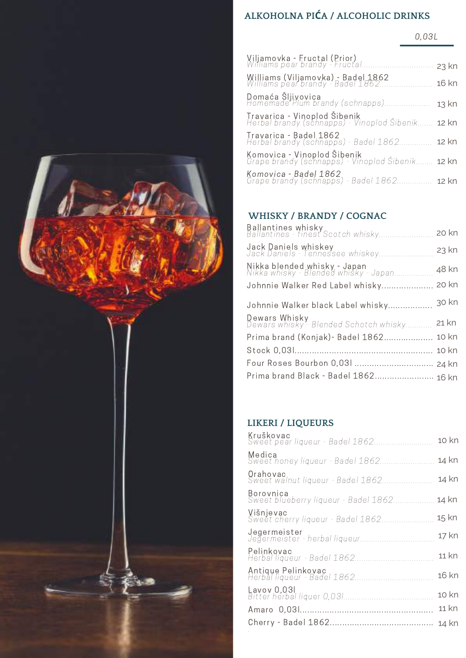

## **ALKOHOLNA PIĆA / ALCOHOLIC DRINKS**

0,03L

| Viljamovka - Fructal (Prior)<br>Williams pear brandy - Fructal              | $23$ kn |
|-----------------------------------------------------------------------------|---------|
| Williams (Viljamovka) - Badel 1862<br>Williams pear brandy - Badel 1862     | 16 kn   |
| Domaća Šljivovica<br>Homemade Plum brandy (schnapps)                        | 13 kn   |
| Travarica - Vinoplod Šibenik<br>Herbal brandy (schnapps) - Vinoplod Šibenik | 12 kn   |
| Travarica - Badel 1862<br>Herbal brandy (schnapps) - Badel 1862             | 12 kn   |
| Komovica - Vinoplod Šibenik<br>Grape brandy (schnapps) - Vinoplod Šibenik   | 12 kn   |
| Komovica - Badel 1862<br>Grape brandy (schnapps) - Badel 1862               | 12 kn   |
|                                                                             |         |

### **WHISKY / BRANDY / COGNAC**

| <b>Ballantines whisky</b><br>Ballantines - finest Scotch whisky <b>20 kn</b>             |       |
|------------------------------------------------------------------------------------------|-------|
| <b>Jack Daniels whiskey</b><br>Jack Daniels - Tennessee whiskey                          | 23 kn |
| <mark>Nikka blended whisky - Japan</mark><br>Nikka whisky - Blended whisky - Japan 48 kn |       |
| Johnnie Walker Red Label whisky 20 kn                                                    |       |
| Johnnie Walker black Label whisky 30 kn                                                  |       |
| <b>Dewars Whisky</b><br>Dewars whisky - Blended Schotch whisky <b>21 kn</b> .            |       |
| Prima brand (Konjak) - Badel 1862 10 kn                                                  |       |
|                                                                                          |       |
| Four Roses Bourbon 0,031  24 kn                                                          |       |
| Prima brand Black - Badel 1862 16 kn                                                     |       |
|                                                                                          |       |

### **LIKERI / LIQUEURS**

| Kruškovac<br>Sweet pear liqueur - Badel 1862      | 10 kn |
|---------------------------------------------------|-------|
| Medica<br>Sweet honey liqueur - Badel 1862        | 14 kn |
| Orahovac<br>Sweet walnut liqueur - Badel 1862     | 14 kn |
| Borovnica<br>Sweet blueberry liqueur - Badel 1862 | 14 kn |
| Višnjevac<br>Sweet cherry liqueur - Badel 1862    | 15 kn |
|                                                   | 17 kn |
| Pelinkovac                                        | 11 kn |
|                                                   | 16 kn |
|                                                   | 10 kn |
|                                                   | 11 kn |
|                                                   | 14 kn |
|                                                   |       |